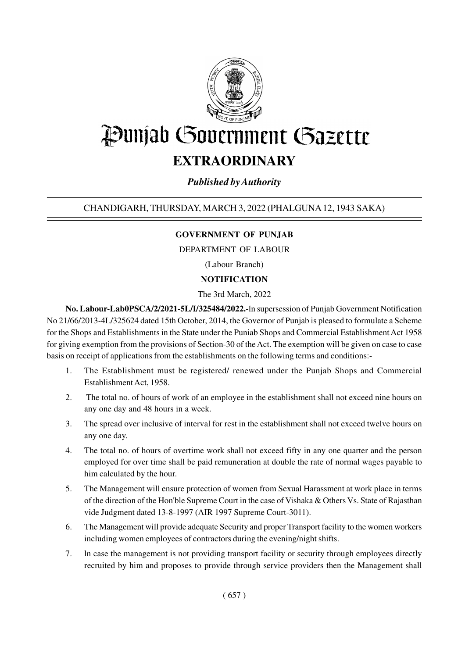

# Punjab Government Gazette

## **EXTRAORDINARY**

### *Published by Authority*

#### CHANDIGARH, THURSDAY, MARCH 3, 2022 (PHALGUNA 12, 1943 SAKA)

#### **GOVERNMENT OF PUNJAB**

DEPARTMENT OF LABOUR

(Labour Branch)

#### **NOTIFICATION**

The 3rd March, 2022

**No. Labour-Lab0PSCA/2/2021-5L/I/325484/2022.-**ln supersession of Punjab Government Notification No 21/66/2013-4L/325624 dated 15th October, 2014, the Governor of Punjab is pleased to formulate a Scheme for the Shops and Establishments in the State under the Puniab Shops and Commercial Establishment Act 1958 for giving exemption from the provisions of Section-30 of the Act. The exemption will be given on case to case basis on receipt of applications from the establishments on the following terms and conditions:-

- 1. The Establishment must be registered/ renewed under the Punjab Shops and Commercial Establishment Act, 1958.
- 2. The total no. of hours of work of an employee in the establishment shall not exceed nine hours on any one day and 48 hours in a week.
- 3. The spread over inclusive of interval for rest in the establishment shall not exceed twelve hours on any one day.
- 4. The total no. of hours of overtime work shall not exceed fifty in any one quarter and the person employed for over time shall be paid remuneration at double the rate of normal wages payable to him calculated by the hour.
- 5. The Management will ensure protection of women from Sexual Harassment at work place in terms of the direction of the Hon'ble Supreme Court in the case of Vishaka & Others Vs. State of Rajasthan vide Judgment dated 13-8-1997 (AIR 1997 Supreme Court-3011).
- 6. The Management will provide adequate Security and proper Transport facility to the women workers including women employees of contractors during the evening/night shifts.
- 7. ln case the management is not providing transport facility or security through employees directly recruited by him and proposes to provide through service providers then the Management shall